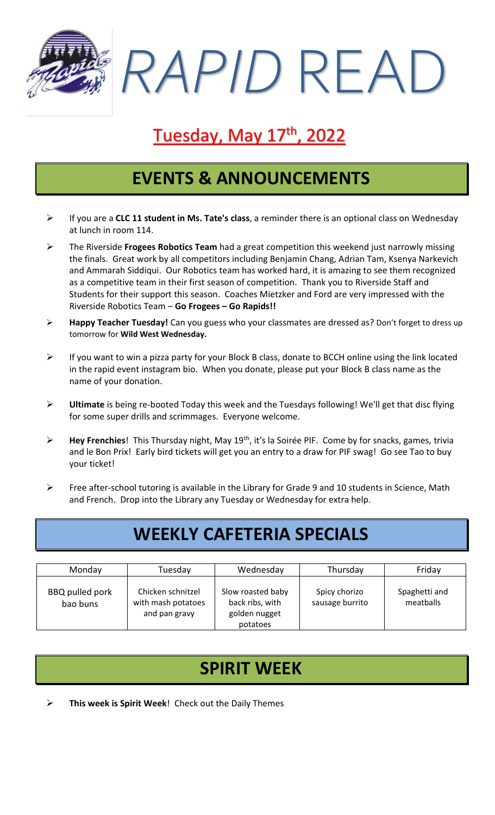*RAPID* READ

# <u>Tuesday, May 17th, 2022</u>

#### **EVENTS & ANNOUNCEMENTS**

- ➢ If you are a **CLC 11 student in Ms. Tate's class**, a reminder there is an optional class on Wednesday at lunch in room 114.
- ➢ The Riverside **Frogees Robotics Team** had a great competition this weekend just narrowly missing the finals. Great work by all competitors including Benjamin Chang, Adrian Tam, Ksenya Narkevich and Ammarah Siddiqui. Our Robotics team has worked hard, it is amazing to see them recognized as a competitive team in their first season of competition. Thank you to Riverside Staff and Students for their support this season. Coaches Mietzker and Ford are very impressed with the Riverside Robotics Team – **Go Frogees – Go Rapids!!**
- ➢ **Happy Teacher Tuesday!** Can you guess who your classmates are dressed as? Don't forget to dress up tomorrow for **Wild West Wednesday.**
- ➢ If you want to win a pizza party for your Block B class, donate to BCCH online using the link located in the rapid event instagram bio. When you donate, please put your Block B class name as the name of your donation.
- ➢ **Ultimate** is being re-booted Today this week and the Tuesdays following! We'll get that disc flying for some super drills and scrimmages. Everyone welcome.
- ➢ **Hey Frenchies**! This Thursday night, May 19th, it's la Soirée PIF. Come by for snacks, games, trivia and le Bon Prix! Early bird tickets will get you an entry to a draw for PIF swag! Go see Tao to buy your ticket!
- ➢ Free after-school tutoring is available in the Library for Grade 9 and 10 students in Science, Math and French. Drop into the Library any Tuesday or Wednesday for extra help.

# **WEEKLY CAFETERIA SPECIALS**

| Monday                             | Tuesday                                                  | Wednesday                                                         | Thursday                         | Friday                     |
|------------------------------------|----------------------------------------------------------|-------------------------------------------------------------------|----------------------------------|----------------------------|
| <b>BBQ</b> pulled pork<br>bao buns | Chicken schnitzel<br>with mash potatoes<br>and pan gravy | Slow roasted baby<br>back ribs, with<br>golden nugget<br>potatoes | Spicy chorizo<br>sausage burrito | Spaghetti and<br>meatballs |

# **SPIRIT WEEK**

➢ **This week is Spirit Week**! Check out the Daily Themes